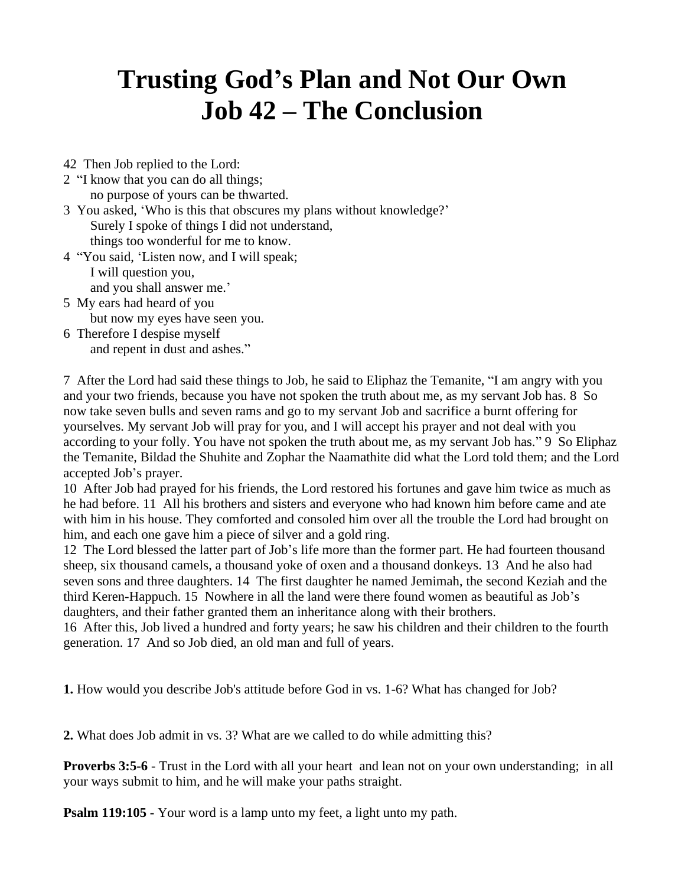## **Trusting God's Plan and Not Our Own Job 42 – The Conclusion**

- 42 Then Job replied to the Lord:
- 2 "I know that you can do all things; no purpose of yours can be thwarted.
- 3 You asked, 'Who is this that obscures my plans without knowledge?' Surely I spoke of things I did not understand, things too wonderful for me to know.
- 4 "You said, 'Listen now, and I will speak; I will question you, and you shall answer me.'
- 5 My ears had heard of you

but now my eyes have seen you.

6 Therefore I despise myself and repent in dust and ashes."

7 After the Lord had said these things to Job, he said to Eliphaz the Temanite, "I am angry with you and your two friends, because you have not spoken the truth about me, as my servant Job has. 8 So now take seven bulls and seven rams and go to my servant Job and sacrifice a burnt offering for yourselves. My servant Job will pray for you, and I will accept his prayer and not deal with you according to your folly. You have not spoken the truth about me, as my servant Job has." 9 So Eliphaz the Temanite, Bildad the Shuhite and Zophar the Naamathite did what the Lord told them; and the Lord accepted Job's prayer.

10 After Job had prayed for his friends, the Lord restored his fortunes and gave him twice as much as he had before. 11 All his brothers and sisters and everyone who had known him before came and ate with him in his house. They comforted and consoled him over all the trouble the Lord had brought on him, and each one gave him a piece of silver and a gold ring.

12 The Lord blessed the latter part of Job's life more than the former part. He had fourteen thousand sheep, six thousand camels, a thousand yoke of oxen and a thousand donkeys. 13 And he also had seven sons and three daughters. 14 The first daughter he named Jemimah, the second Keziah and the third Keren-Happuch. 15 Nowhere in all the land were there found women as beautiful as Job's daughters, and their father granted them an inheritance along with their brothers.

16 After this, Job lived a hundred and forty years; he saw his children and their children to the fourth generation. 17 And so Job died, an old man and full of years.

**1.** How would you describe Job's attitude before God in vs. 1-6? What has changed for Job?

**2.** What does Job admit in vs. 3? What are we called to do while admitting this?

**Proverbs 3:5-6** - Trust in the Lord with all your heart and lean not on your own understanding; in all your ways submit to him, and he will make your paths straight.

**Psalm 119:105 -** Your word is a lamp unto my feet, a light unto my path.